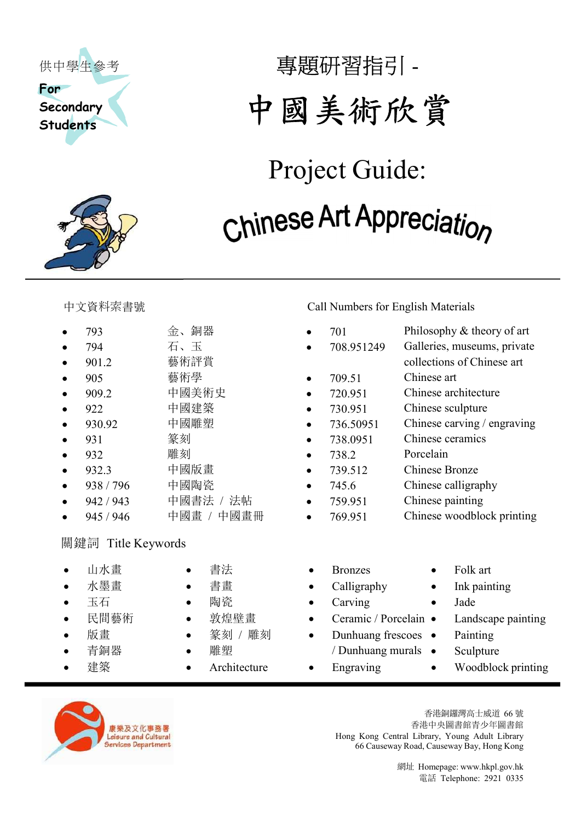



# 專題研習指引 - 中國美術欣賞

## Project Guide: Chinese Art Appreciation

- 
- 
- 901.2 **藝術評賞** collections of Chinese art
- 905 藝術學 709.51 Chinese art
- 
- 922 中國建築 730.951 Chinese sculpture
- 
- 
- 932 雕刻 738.2 Porcelain
- 
- 
- 942 / 943 中國書法 / 法帖 759.951 Chinese painting
- 

#### 關鍵詞 Title Keywords

- 山水畫 書法 Bronzes Folk art
- 
- 
- 
- 
- 
- 
- -
	-
	-
	-
	-
	-

#### 中文資料索書號 Call Numbers for English Materials

- 793 金、銅器 701 Philosophy & theory of art 794  $\overline{4}$ ,  $\overline{5}$   $\overline{108.951249}$  Galleries, museums, private
	-
	-
- 909.2 中國美術史 720.951 Chinese architecture
	-
- 930.92 中國雕塑 736.50951 Chinese carving / engraving
- 931 篆刻 738.0951 Chinese ceramics
	-
- 932.3 中國版畫 739.512 Chinese Bronze
- 938 / 796 中國陶瓷  $\bullet$  745.6 Chinese calligraphy
	-
- 945 / 946 中國畫 / 中國畫冊 769.951 Chinese woodblock printing
	-
- 水墨畫 書畫 Calligraphy Ink painting
- 玉石 ● 陶瓷 Carving ● Jade
	- 民間藝術 敦煌壁畫 Ceramic / Porcelain Landscape painting
	- 版畫 → 篆刻 / 雕刻 → Dunhuang frescoes Painting
	- 青銅器 → 雕塑 / Dunhuang murals Sculpture
		-
- -
- -
- 
- 
- 建築 → Architecture → Engraving → Woodblock printing



香港銅鑼灣高士威道 66 號 香港中央圖書館青少年圖書館 Hong Kong Central Library, Young Adult Library 66 Causeway Road, Causeway Bay, Hong Kong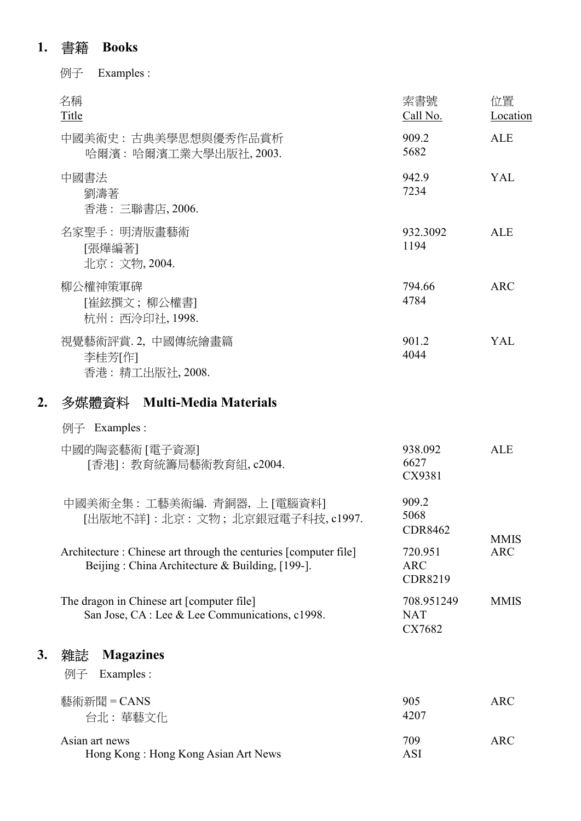#### 1. 書籍 Books

例子 Examples :

| 名稱<br>Title                                    | 索書號<br>Call No.  | 位置<br>Location |
|------------------------------------------------|------------------|----------------|
| 中國美術史:古典美學思想與優秀作品賞析<br>哈爾濱:哈爾濱工業大學出版社, 2003.   | 909.2<br>5682    | <b>ALE</b>     |
| 中國書法<br>劉濤著<br>香港:三聯書店, 2006.                  | 942.9<br>7234    | YAL            |
| 名家聖手:明清版畫藝術<br>[張燁編著]<br>北京: 文物, 2004.         | 932.3092<br>1194 | <b>ALE</b>     |
| 柳公權神策軍碑<br>[崔鉉撰文;柳公權書]<br>杭州:西泠印社, 1998.       | 794.66<br>4784   | <b>ARC</b>     |
| 視覺藝術評賞.2,中國傳統繪畫篇<br>李桂芳[作]<br>香港: 精工出版社, 2008. | 901.2<br>4044    | YAL            |
|                                                |                  |                |

### 2. 多媒體資料 Multi-Media Materials

#### 例子 Examples :

|    | 中國的陶瓷藝術 [電子資源]<br>[香港]:教育統籌局藝術教育組, c2004.                                                                           | 938.092<br>6627<br>CX9381               | <b>ALE</b>  |
|----|---------------------------------------------------------------------------------------------------------------------|-----------------------------------------|-------------|
|    | 中國美術全集:工藝美術編. 青銅器, 上 [電腦資料]<br>[出版地不詳]:北京:文物;北京銀冠電子科技,c1997.                                                        | 909.2<br>5068<br><b>CDR8462</b>         | <b>MMIS</b> |
|    | Architecture : Chinese art through the centuries [computer file]<br>Beijing: China Architecture & Building, [199-]. | 720.951<br><b>ARC</b><br><b>CDR8219</b> | <b>ARC</b>  |
|    | The dragon in Chinese art [computer file]<br>San Jose, CA : Lee & Lee Communications, c1998.                        | 708.951249<br><b>NAT</b><br>CX7682      | <b>MMIS</b> |
| 3. | <b>Magazines</b><br>雜誌<br>Examples :<br>例子                                                                          |                                         |             |
|    | 藝術新聞 = CANS<br>台北:華藝文化                                                                                              | 905<br>4207                             | <b>ARC</b>  |
|    | Asian art news<br>Hong Kong: Hong Kong Asian Art News                                                               | 709<br><b>ASI</b>                       | <b>ARC</b>  |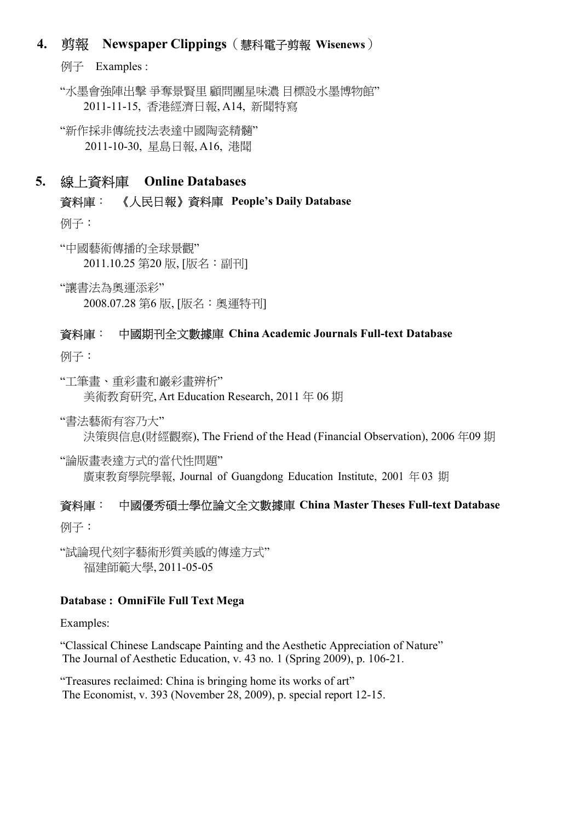#### 4. 剪報 Newspaper Clippings(慧科電子剪報 Wisenews)

例子 Examples :

"水墨會強陣出擊 爭奪景賢里 顧問團星味濃 目標設水墨博物館" 2011-11-15, 香港經濟日報, A14, 新聞特寫

"新作採非傳統技法表達中國陶瓷精髓" 2011-10-30, 星島日報, A16, 港聞

#### 5. 線上資料庫 Online Databases

資料庫: 《人民日報》資料庫 People's Daily Database

例子:

"中國藝術傳播的全球景觀" 2011.10.25 第20 版, [版名:副刊]

"讓書法為奧運添彩" 2008.07.28 第6 版, [版名:奧運特刊]

#### 資料庫: 中國期刊全文數據庫 China Academic Journals Full-text Database

例子:

"工筆畫、重彩畫和巖彩畫辨析"

美術教育研究, Art Education Research, 2011 年 06 期

"書法藝術有容乃大"

決策與信息(財經觀察), The Friend of the Head (Financial Observation), 2006 年 09 期

"論版畫表達方式的當代性問題"

廣東教育學院學報, Journal of Guangdong Education Institute, 2001 年 03 期

#### 資料庫: 中國優秀碩士學位論文全文數據庫 China Master Theses Full-text Database

例子:

"試論現代刻字藝術形質美感的傳達方式" 福建師範大學, 2011-05-05

#### Database : OmniFile Full Text Mega

Examples:

"Classical Chinese Landscape Painting and the Aesthetic Appreciation of Nature" The Journal of Aesthetic Education, v. 43 no. 1 (Spring 2009), p. 106-21.

"Treasures reclaimed: China is bringing home its works of art" The Economist, v. 393 (November 28, 2009), p. special report 12-15.